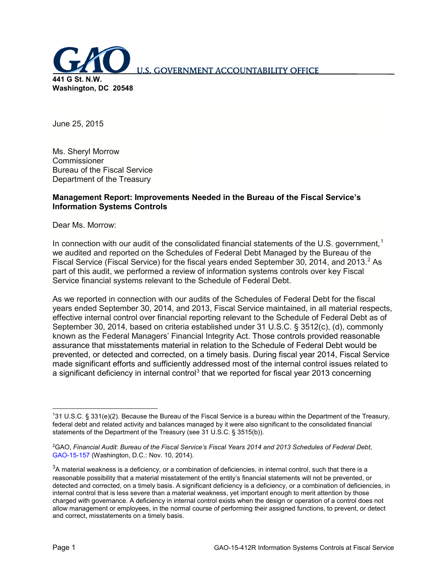

June 25, 2015

Ms. Sheryl Morrow Commissioner Bureau of the Fiscal Service Department of the Treasury

### **Management Report: Improvements Needed in the Bureau of the Fiscal Service's Information Systems Controls**

Dear Ms. Morrow:

In connection with our audit of the consolidated financial statements of the U.S. government,  $1$ we audited and reported on the Schedules of Federal Debt Managed by the Bureau of the Fiscal Service (Fiscal Service) for the fiscal years ended September 30, [2](#page-0-1)014, and 2013.<sup>2</sup> As part of this audit, we performed a review of information systems controls over key Fiscal Service financial systems relevant to the Schedule of Federal Debt.

As we reported in connection with our audits of the Schedules of Federal Debt for the fiscal years ended September 30, 2014, and 2013, Fiscal Service maintained, in all material respects, effective internal control over financial reporting relevant to the Schedule of Federal Debt as of September 30, 2014, based on criteria established under 31 U.S.C. § 3512(c), (d), commonly known as the Federal Managers' Financial Integrity Act. Those controls provided reasonable assurance that misstatements material in relation to the Schedule of Federal Debt would be prevented, or detected and corrected, on a timely basis. During fiscal year 2014, Fiscal Service made significant efforts and sufficiently addressed most of the internal control issues related to a significant deficiency in internal control<sup>[3](#page-0-2)</sup> that we reported for fiscal year 2013 concerning

<span id="page-0-0"></span><sup>|&</sup>lt;br>1 31 U.S.C. § 331(e)(2). Because the Bureau of the Fiscal Service is a bureau within the Department of the Treasury, federal debt and related activity and balances managed by it were also significant to the consolidated financial statements of the Department of the Treasury (see 31 U.S.C. § 3515(b)).

<span id="page-0-1"></span><sup>2</sup> GAO, *Financial Audit: Bureau of the Fiscal Service's Fiscal Years 2014 and 2013 Schedules of Federal Debt*, [GAO-15-157](http://www.gao.gov/products/GAO-15-157) (Washington, D.C.: Nov. 10, 2014).

<span id="page-0-2"></span> ${}^{3}$ A material weakness is a deficiency, or a combination of deficiencies, in internal control, such that there is a reasonable possibility that a material misstatement of the entity's financial statements will not be prevented, or detected and corrected, on a timely basis. A significant deficiency is a deficiency, or a combination of deficiencies, in internal control that is less severe than a material weakness, yet important enough to merit attention by those charged with governance. A deficiency in internal control exists when the design or operation of a control does not allow management or employees, in the normal course of performing their assigned functions, to prevent, or detect and correct, misstatements on a timely basis.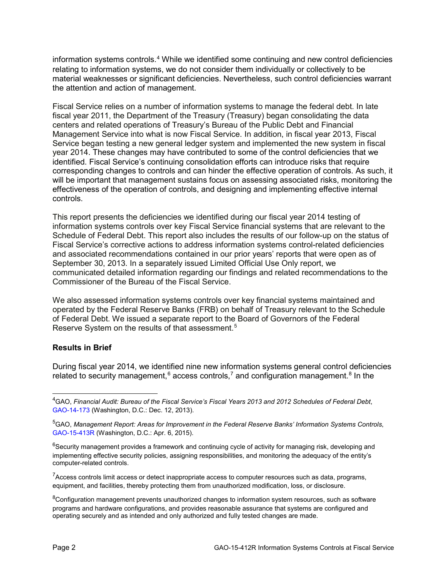information systems controls.[4](#page-1-0) While we identified some continuing and new control deficiencies relating to information systems, we do not consider them individually or collectively to be material weaknesses or significant deficiencies. Nevertheless, such control deficiencies warrant the attention and action of management.

Fiscal Service relies on a number of information systems to manage the federal debt. In late fiscal year 2011, the Department of the Treasury (Treasury) began consolidating the data centers and related operations of Treasury's Bureau of the Public Debt and Financial Management Service into what is now Fiscal Service. In addition, in fiscal year 2013, Fiscal Service began testing a new general ledger system and implemented the new system in fiscal year 2014. These changes may have contributed to some of the control deficiencies that we identified. Fiscal Service's continuing consolidation efforts can introduce risks that require corresponding changes to controls and can hinder the effective operation of controls. As such, it will be important that management sustains focus on assessing associated risks, monitoring the effectiveness of the operation of controls, and designing and implementing effective internal controls.

This report presents the deficiencies we identified during our fiscal year 2014 testing of information systems controls over key Fiscal Service financial systems that are relevant to the Schedule of Federal Debt. This report also includes the results of our follow-up on the status of Fiscal Service's corrective actions to address information systems control-related deficiencies and associated recommendations contained in our prior years' reports that were open as of September 30, 2013. In a separately issued Limited Official Use Only report, we communicated detailed information regarding our findings and related recommendations to the Commissioner of the Bureau of the Fiscal Service.

We also assessed information systems controls over key financial systems maintained and operated by the Federal Reserve Banks (FRB) on behalf of Treasury relevant to the Schedule of Federal Debt. We issued a separate report to the Board of Governors of the Federal Reserve System on the results of that assessment.<sup>[5](#page-1-1)</sup>

#### **Results in Brief**

During fiscal year 2014, we identified nine new information systems general control deficiencies related to security management,<sup>[6](#page-1-2)</sup> access controls,<sup>[7](#page-1-3)</sup> and configuration management.<sup>[8](#page-1-4)</sup> In the

<span id="page-1-3"></span> $7$ Access controls limit access or detect inappropriate access to computer resources such as data, programs, equipment, and facilities, thereby protecting them from unauthorized modification, loss, or disclosure.

<span id="page-1-0"></span> <sup>4</sup> GAO, *Financial Audit: Bureau of the Fiscal Service's Fiscal Years 2013 and 2012 Schedules of Federal Debt*, [GAO-14-173](http://www.gao.gov/products/GAO-14-173) (Washington, D.C.: Dec. 12, 2013).

<span id="page-1-1"></span><sup>5</sup> GAO, *Management Report: Areas for Improvement in the Federal Reserve Banks' Information Systems Controls*, [GAO-15-413R](http://www.gao.gov/products/GAO-15-413R) (Washington, D.C.: Apr. 6, 2015).

<span id="page-1-2"></span><sup>&</sup>lt;sup>6</sup>Security management provides a framework and continuing cycle of activity for managing risk, developing and implementing effective security policies, assigning responsibilities, and monitoring the adequacy of the entity's computer-related controls.

<span id="page-1-4"></span><sup>&</sup>lt;sup>8</sup>Configuration management prevents unauthorized changes to information system resources, such as software programs and hardware configurations, and provides reasonable assurance that systems are configured and operating securely and as intended and only authorized and fully tested changes are made.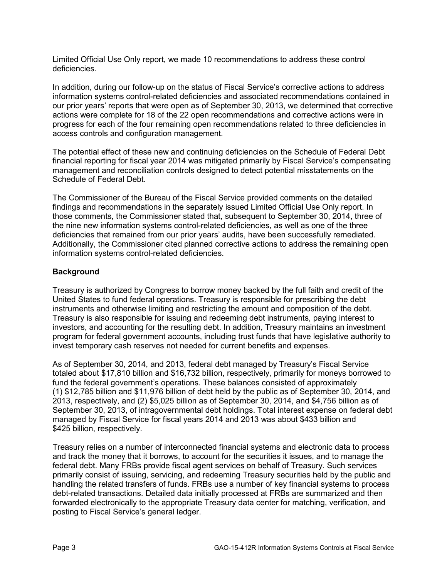Limited Official Use Only report, we made 10 recommendations to address these control deficiencies.

In addition, during our follow-up on the status of Fiscal Service's corrective actions to address information systems control-related deficiencies and associated recommendations contained in our prior years' reports that were open as of September 30, 2013, we determined that corrective actions were complete for 18 of the 22 open recommendations and corrective actions were in progress for each of the four remaining open recommendations related to three deficiencies in access controls and configuration management.

The potential effect of these new and continuing deficiencies on the Schedule of Federal Debt financial reporting for fiscal year 2014 was mitigated primarily by Fiscal Service's compensating management and reconciliation controls designed to detect potential misstatements on the Schedule of Federal Debt.

The Commissioner of the Bureau of the Fiscal Service provided comments on the detailed findings and recommendations in the separately issued Limited Official Use Only report. In those comments, the Commissioner stated that, subsequent to September 30, 2014, three of the nine new information systems control-related deficiencies, as well as one of the three deficiencies that remained from our prior years' audits, have been successfully remediated. Additionally, the Commissioner cited planned corrective actions to address the remaining open information systems control-related deficiencies.

### **Background**

Treasury is authorized by Congress to borrow money backed by the full faith and credit of the United States to fund federal operations. Treasury is responsible for prescribing the debt instruments and otherwise limiting and restricting the amount and composition of the debt. Treasury is also responsible for issuing and redeeming debt instruments, paying interest to investors, and accounting for the resulting debt. In addition, Treasury maintains an investment program for federal government accounts, including trust funds that have legislative authority to invest temporary cash reserves not needed for current benefits and expenses.

As of September 30, 2014, and 2013, federal debt managed by Treasury's Fiscal Service totaled about \$17,810 billion and \$16,732 billion, respectively, primarily for moneys borrowed to fund the federal government's operations. These balances consisted of approximately (1) \$12,785 billion and \$11,976 billion of debt held by the public as of September 30, 2014, and 2013, respectively, and (2) \$5,025 billion as of September 30, 2014, and \$4,756 billion as of September 30, 2013, of intragovernmental debt holdings. Total interest expense on federal debt managed by Fiscal Service for fiscal years 2014 and 2013 was about \$433 billion and \$425 billion, respectively.

Treasury relies on a number of interconnected financial systems and electronic data to process and track the money that it borrows, to account for the securities it issues, and to manage the federal debt. Many FRBs provide fiscal agent services on behalf of Treasury. Such services primarily consist of issuing, servicing, and redeeming Treasury securities held by the public and handling the related transfers of funds. FRBs use a number of key financial systems to process debt-related transactions. Detailed data initially processed at FRBs are summarized and then forwarded electronically to the appropriate Treasury data center for matching, verification, and posting to Fiscal Service's general ledger.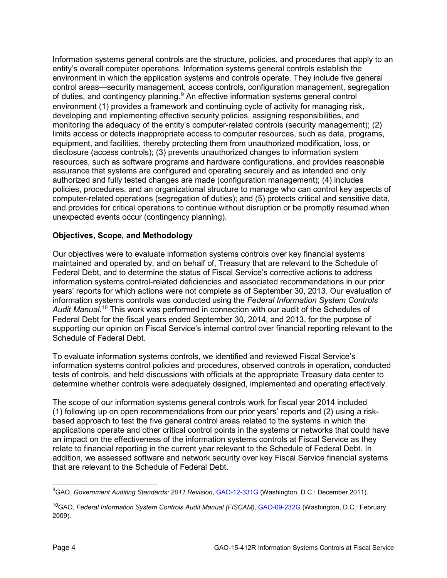Information systems general controls are the structure, policies, and procedures that apply to an entity's overall computer operations. Information systems general controls establish the environment in which the application systems and controls operate. They include five general control areas—security management, access controls, configuration management, segregation of duties, and contingency planning.<sup>[9](#page-3-0)</sup> An effective information systems general control environment (1) provides a framework and continuing cycle of activity for managing risk, developing and implementing effective security policies, assigning responsibilities, and monitoring the adequacy of the entity's computer-related controls (security management); (2) limits access or detects inappropriate access to computer resources, such as data, programs, equipment, and facilities, thereby protecting them from unauthorized modification, loss, or disclosure (access controls); (3) prevents unauthorized changes to information system resources, such as software programs and hardware configurations, and provides reasonable assurance that systems are configured and operating securely and as intended and only authorized and fully tested changes are made (configuration management); (4) includes policies, procedures, and an organizational structure to manage who can control key aspects of computer-related operations (segregation of duties); and (5) protects critical and sensitive data, and provides for critical operations to continue without disruption or be promptly resumed when unexpected events occur (contingency planning).

# **Objectives, Scope, and Methodology**

Our objectives were to evaluate information systems controls over key financial systems maintained and operated by, and on behalf of, Treasury that are relevant to the Schedule of Federal Debt, and to determine the status of Fiscal Service's corrective actions to address information systems control-related deficiencies and associated recommendations in our prior years' reports for which actions were not complete as of September 30, 2013. Our evaluation of information systems controls was conducted using the *Federal Information System Controls*  Audit Manual.<sup>[10](#page-3-1)</sup> This work was performed in connection with our audit of the Schedules of Federal Debt for the fiscal years ended September 30, 2014, and 2013, for the purpose of supporting our opinion on Fiscal Service's internal control over financial reporting relevant to the Schedule of Federal Debt.

To evaluate information systems controls, we identified and reviewed Fiscal Service's information systems control policies and procedures, observed controls in operation, conducted tests of controls, and held discussions with officials at the appropriate Treasury data center to determine whether controls were adequately designed, implemented and operating effectively.

The scope of our information systems general controls work for fiscal year 2014 included (1) following up on open recommendations from our prior years' reports and (2) using a riskbased approach to test the five general control areas related to the systems in which the applications operate and other critical control points in the systems or networks that could have an impact on the effectiveness of the information systems controls at Fiscal Service as they relate to financial reporting in the current year relevant to the Schedule of Federal Debt. In addition, we assessed software and network security over key Fiscal Service financial systems that are relevant to the Schedule of Federal Debt.

<span id="page-3-0"></span> <sup>9</sup> GAO, *Government Auditing Standards: 2011 Revision*, [GAO-12-331G](http://www.gao.gov/products/GAO-12-331G) (Washington, D.C.: December 2011).

<span id="page-3-1"></span><sup>10</sup>GAO, *Federal Information System Controls Audit Manual (FISCAM)*, [GAO-09-232G](http://www.gao.gov/products/GAO-09-232G) (Washington, D.C.: February 2009).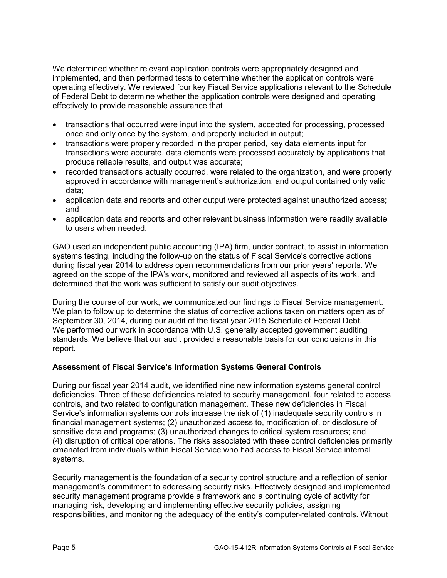We determined whether relevant application controls were appropriately designed and implemented, and then performed tests to determine whether the application controls were operating effectively. We reviewed four key Fiscal Service applications relevant to the Schedule of Federal Debt to determine whether the application controls were designed and operating effectively to provide reasonable assurance that

- transactions that occurred were input into the system, accepted for processing, processed once and only once by the system, and properly included in output;
- transactions were properly recorded in the proper period, key data elements input for transactions were accurate, data elements were processed accurately by applications that produce reliable results, and output was accurate;
- recorded transactions actually occurred, were related to the organization, and were properly approved in accordance with management's authorization, and output contained only valid data;
- application data and reports and other output were protected against unauthorized access; and
- application data and reports and other relevant business information were readily available to users when needed.

GAO used an independent public accounting (IPA) firm, under contract, to assist in information systems testing, including the follow-up on the status of Fiscal Service's corrective actions during fiscal year 2014 to address open recommendations from our prior years' reports. We agreed on the scope of the IPA's work, monitored and reviewed all aspects of its work, and determined that the work was sufficient to satisfy our audit objectives.

During the course of our work, we communicated our findings to Fiscal Service management. We plan to follow up to determine the status of corrective actions taken on matters open as of September 30, 2014, during our audit of the fiscal year 2015 Schedule of Federal Debt. We performed our work in accordance with U.S. generally accepted government auditing standards. We believe that our audit provided a reasonable basis for our conclusions in this report.

## **Assessment of Fiscal Service's Information Systems General Controls**

During our fiscal year 2014 audit, we identified nine new information systems general control deficiencies. Three of these deficiencies related to security management, four related to access controls, and two related to configuration management. These new deficiencies in Fiscal Service's information systems controls increase the risk of (1) inadequate security controls in financial management systems; (2) unauthorized access to, modification of, or disclosure of sensitive data and programs; (3) unauthorized changes to critical system resources; and (4) disruption of critical operations. The risks associated with these control deficiencies primarily emanated from individuals within Fiscal Service who had access to Fiscal Service internal systems.

Security management is the foundation of a security control structure and a reflection of senior management's commitment to addressing security risks. Effectively designed and implemented security management programs provide a framework and a continuing cycle of activity for managing risk, developing and implementing effective security policies, assigning responsibilities, and monitoring the adequacy of the entity's computer-related controls. Without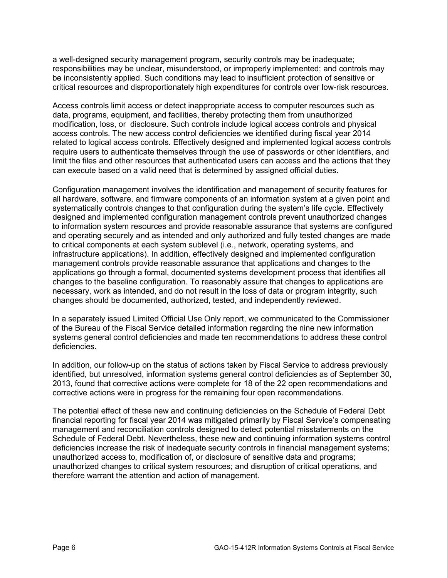a well-designed security management program, security controls may be inadequate; responsibilities may be unclear, misunderstood, or improperly implemented; and controls may be inconsistently applied. Such conditions may lead to insufficient protection of sensitive or critical resources and disproportionately high expenditures for controls over low-risk resources.

Access controls limit access or detect inappropriate access to computer resources such as data, programs, equipment, and facilities, thereby protecting them from unauthorized modification, loss, or disclosure. Such controls include logical access controls and physical access controls. The new access control deficiencies we identified during fiscal year 2014 related to logical access controls. Effectively designed and implemented logical access controls require users to authenticate themselves through the use of passwords or other identifiers, and limit the files and other resources that authenticated users can access and the actions that they can execute based on a valid need that is determined by assigned official duties.

Configuration management involves the identification and management of security features for all hardware, software, and firmware components of an information system at a given point and systematically controls changes to that configuration during the system's life cycle. Effectively designed and implemented configuration management controls prevent unauthorized changes to information system resources and provide reasonable assurance that systems are configured and operating securely and as intended and only authorized and fully tested changes are made to critical components at each system sublevel (i.e., network, operating systems, and infrastructure applications). In addition, effectively designed and implemented configuration management controls provide reasonable assurance that applications and changes to the applications go through a formal, documented systems development process that identifies all changes to the baseline configuration. To reasonably assure that changes to applications are necessary, work as intended, and do not result in the loss of data or program integrity, such changes should be documented, authorized, tested, and independently reviewed.

In a separately issued Limited Official Use Only report, we communicated to the Commissioner of the Bureau of the Fiscal Service detailed information regarding the nine new information systems general control deficiencies and made ten recommendations to address these control deficiencies.

In addition, our follow-up on the status of actions taken by Fiscal Service to address previously identified, but unresolved, information systems general control deficiencies as of September 30, 2013, found that corrective actions were complete for 18 of the 22 open recommendations and corrective actions were in progress for the remaining four open recommendations.

The potential effect of these new and continuing deficiencies on the Schedule of Federal Debt financial reporting for fiscal year 2014 was mitigated primarily by Fiscal Service's compensating management and reconciliation controls designed to detect potential misstatements on the Schedule of Federal Debt. Nevertheless, these new and continuing information systems control deficiencies increase the risk of inadequate security controls in financial management systems; unauthorized access to, modification of, or disclosure of sensitive data and programs; unauthorized changes to critical system resources; and disruption of critical operations, and therefore warrant the attention and action of management.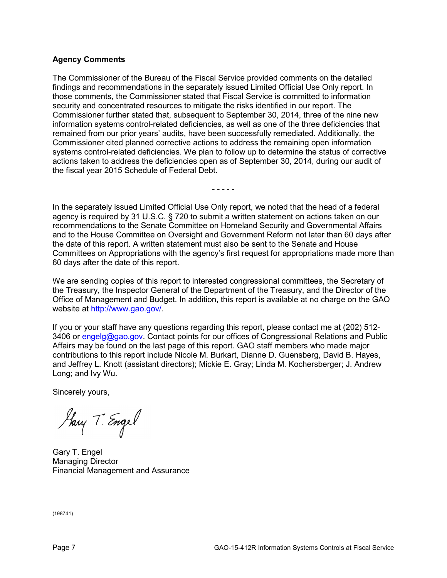## **Agency Comments**

The Commissioner of the Bureau of the Fiscal Service provided comments on the detailed findings and recommendations in the separately issued Limited Official Use Only report. In those comments, the Commissioner stated that Fiscal Service is committed to information security and concentrated resources to mitigate the risks identified in our report. The Commissioner further stated that, subsequent to September 30, 2014, three of the nine new information systems control-related deficiencies, as well as one of the three deficiencies that remained from our prior years' audits, have been successfully remediated. Additionally, the Commissioner cited planned corrective actions to address the remaining open information systems control-related deficiencies. We plan to follow up to determine the status of corrective actions taken to address the deficiencies open as of September 30, 2014, during our audit of the fiscal year 2015 Schedule of Federal Debt.

In the separately issued Limited Official Use Only report, we noted that the head of a federal agency is required by 31 U.S.C. § 720 to submit a written statement on actions taken on our recommendations to the Senate Committee on Homeland Security and Governmental Affairs and to the House Committee on Oversight and Government Reform not later than 60 days after the date of this report. A written statement must also be sent to the Senate and House Committees on Appropriations with the agency's first request for appropriations made more than 60 days after the date of this report.

- - - - -

We are sending copies of this report to interested congressional committees, the Secretary of the Treasury, the Inspector General of the Department of the Treasury, and the Director of the Office of Management and Budget. In addition, this report is available at no charge on the GAO website at [http://www.gao.gov/.](http://www.gao.gov/)

If you or your staff have any questions regarding this report, please contact me at (202) 512- 3406 or [engelg@gao.gov.](mailto:engelg@gao.gov) Contact points for our offices of Congressional Relations and Public Affairs may be found on the last page of this report. GAO staff members who made major contributions to this report include Nicole M. Burkart, Dianne D. Guensberg, David B. Hayes, and Jeffrey L. Knott (assistant directors); Mickie E. Gray; Linda M. Kochersberger; J. Andrew Long; and Ivy Wu.

Sincerely yours,

Harry T. Engel

Gary T. Engel Managing Director Financial Management and Assurance

(198741)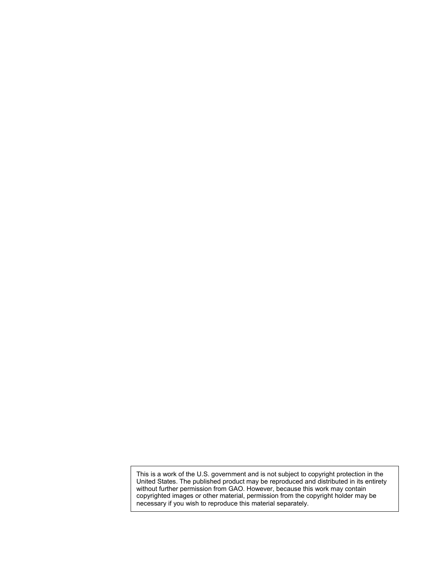This is a work of the U.S. government and is not subject to copyright protection in the United States. The published product may be reproduced and distributed in its entirety without further permission from GAO. However, because this work may contain copyrighted images or other material, permission from the copyright holder may be necessary if you wish to reproduce this material separately.